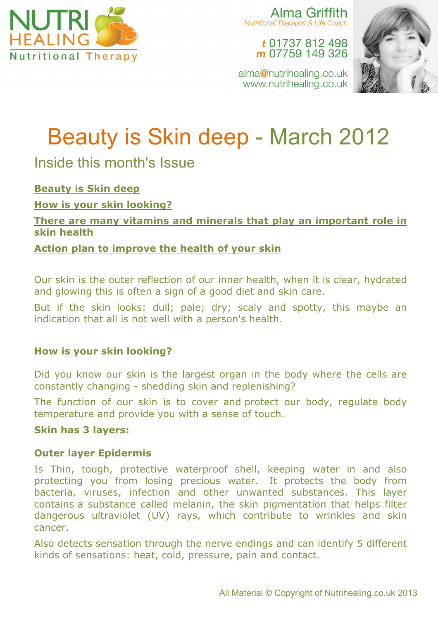

Alma Griffith **Nutritional Therapist & Life Coach** 

> t 01737 812 498 m 07759 149 326

alma@nutrihealing.co.uk www.nutrihealing.co.uk



# Beauty is Skin deep - March 2012

Inside this month's Issue

**Beauty is Skin deep**

**How is your skin looking?**

**There are many vitamins and minerals that play an important role in skin health**

**Action plan to improve the health of your skin**

Our skin is the outer reflection of our inner health, when it is clear, hydrated and glowing this is often a sign of a good diet and skin care.

But if the skin looks: dull; pale; dry; scaly and spotty, this maybe an indication that all is not well with a person's health.

# **How is your skin looking?**

Did you know our skin is the largest organ in the body where the cells are constantly changing - shedding skin and replenishing?

The function of our skin is to cover and protect our body, regulate body temperature and provide you with a sense of touch.

## **Skin has 3 layers:**

## **Outer layer Epidermis**

Is Thin, tough, protective waterproof shell, keeping water in and also protecting you from losing precious water. It protects the body from bacteria, viruses, infection and other unwanted substances. This layer contains a substance called melanin, the skin pigmentation that helps filter dangerous ultraviolet (UV) rays, which contribute to wrinkles and skin cancer.

Also detects sensation through the nerve endings and can identify 5 different kinds of sensations: heat, cold, pressure, pain and contact.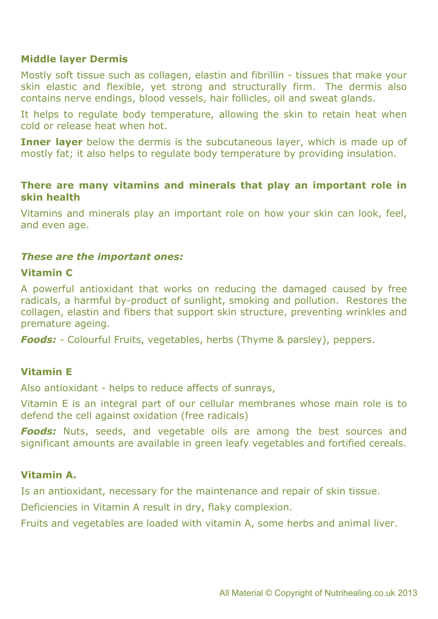#### **Middle layer Dermis**

Mostly soft tissue such as collagen, elastin and fibrillin - tissues that make your skin elastic and flexible, yet strong and structurally firm. The dermis also contains nerve endings, blood vessels, hair follicles, oil and sweat glands.

It helps to regulate body temperature, allowing the skin to retain heat when cold or release heat when hot.

**Inner layer** below the dermis is the subcutaneous layer, which is made up of mostly fat; it also helps to regulate body temperature by providing insulation.

#### **There are many vitamins and minerals that play an important role in skin health**

Vitamins and minerals play an important role on how your skin can look, feel, and even age.

#### *These are the important ones:*

#### **Vitamin C**

A powerful antioxidant that works on reducing the damaged caused by free radicals, a harmful by-product of sunlight, smoking and pollution. Restores the collagen, elastin and fibers that support skin structure, preventing wrinkles and premature ageing.

*Foods:* - Colourful Fruits, vegetables, herbs (Thyme & parsley), peppers.

#### **Vitamin E**

Also antioxidant - helps to reduce affects of sunrays,

Vitamin E is an integral part of our cellular membranes whose main role is to defend the cell against oxidation (free radicals)

*Foods:* Nuts, seeds, and vegetable oils are among the best sources and significant amounts are available in green leafy vegetables and fortified cereals.

#### **Vitamin A.**

Is an antioxidant, necessary for the maintenance and repair of skin tissue.

Deficiencies in Vitamin A result in dry, flaky complexion.

Fruits and vegetables are loaded with vitamin A, some herbs and animal liver.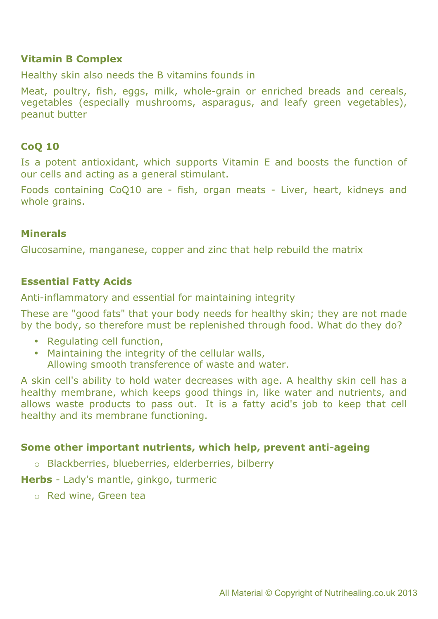#### **Vitamin B Complex**

Healthy skin also needs the B vitamins founds in

Meat, poultry, fish, eggs, milk, whole-grain or enriched breads and cereals, vegetables (especially mushrooms, asparagus, and leafy green vegetables), peanut butter

## **CoQ 10**

Is a potent antioxidant, which supports Vitamin E and boosts the function of our cells and acting as a general stimulant.

Foods containing CoQ10 are - fish, organ meats - Liver, heart, kidneys and whole grains.

## **Minerals**

Glucosamine, manganese, copper and zinc that help rebuild the matrix

## **Essential Fatty Acids**

Anti-inflammatory and essential for maintaining integrity

These are "good fats" that your body needs for healthy skin; they are not made by the body, so therefore must be replenished through food. What do they do?

- Regulating cell function,
- Maintaining the integrity of the cellular walls, Allowing smooth transference of waste and water.

A skin cell's ability to hold water decreases with age. A healthy skin cell has a healthy membrane, which keeps good things in, like water and nutrients, and allows waste products to pass out. It is a fatty acid's job to keep that cell healthy and its membrane functioning.

#### **Some other important nutrients, which help, prevent anti-ageing**

o Blackberries, blueberries, elderberries, bilberry

**Herbs** - Lady's mantle, ginkgo, turmeric

o Red wine, Green tea